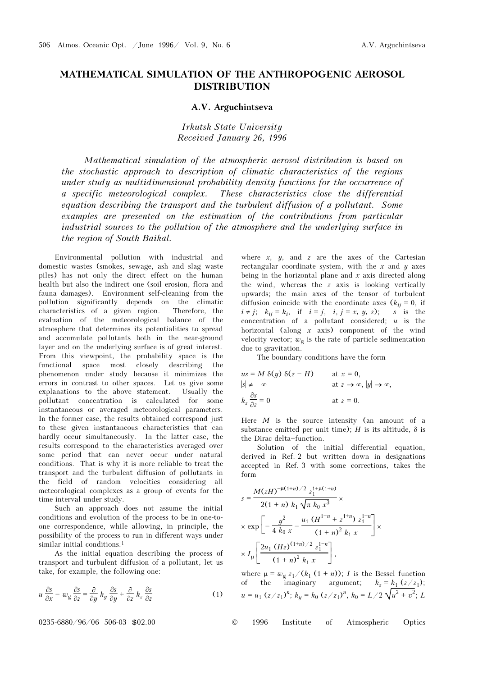## MATHEMATICAL SIMULATION OF THE ANTHROPOGENIC AEROSOL DISTRIBUTION

## A.V. Arguchintseva

Irkutsk State University Received January 26, 1996

Mathematical simulation of the atmospheric aerosol distribution is based on the stochastic approach to description of climatic characteristics of the regions under study as multidimensional probability density functions for the occurrence of a specific meteorological complex. These characteristics close the differential equation describing the transport and the turbulent diffusion of a pollutant. Some examples are presented on the estimation of the contributions from particular industrial sources to the pollution of the atmosphere and the underlying surface in the region of South Baikal.

Environmental pollution with industrial and domestic wastes (smokes, sewage, ash and slag waste piles) has not only the direct effect on the human health but also the indirect one (soil erosion, flora and fauna damages). Environment self-cleaning from the pollution significantly depends on the climatic characteristics of a given region. Therefore, the evaluation of the meteorological balance of the atmosphere that determines its potentialities to spread and accumulate pollutants both in the near-ground layer and on the underlying surface is of great interest. From this viewpoint, the probability space is the functional space most closely describing the phenomenon under study because it minimizes the errors in contrast to other spaces. Let us give some explanations to the above statement. Usually the pollutant concentration is calculated for some instantaneous or averaged meteorological parameters. In the former case, the results obtained correspond just to these given instantaneous characteristics that can hardly occur simultaneously. In the latter case, the results correspond to the characteristics averaged over some period that can never occur under natural conditions. That is why it is more reliable to treat the transport and the turbulent diffusion of pollutants in the field of random velocities considering all meteorological complexes as a group of events for the time interval under study.

Such an approach does not assume the initial conditions and evolution of the process to be in one-toone correspondence, while allowing, in principle, the possibility of the process to run in different ways under similar initial conditions.1

As the initial equation describing the process of transport and turbulent diffusion of a pollutant, let us take, for example, the following one:

$$
u\frac{\partial s}{\partial x} - w_g \frac{\partial s}{\partial z} = \frac{\partial}{\partial y} k_y \frac{\partial s}{\partial y} + \frac{\partial}{\partial z} k_z \frac{\partial s}{\partial z}
$$
 (1)

where  $x$ ,  $y$ , and  $z$  are the axes of the Cartesian rectangular coordinate system, with the  $x$  and  $y$  axes being in the horizontal plane and  $x$  axis directed along the wind, whereas the z axis is looking vertically upwards; the main axes of the tensor of turbulent diffusion coincide with the coordinate axes  $(k_{ij} = 0)$ , if  $i \neq j$ ;  $k_{ij} = k_j$ , if  $i = j$ ,  $i, j = x, y, z$ ; s is the  $i \neq j$ ;  $k_{ij} = k_i$ , if  $i = j$ ,  $i, j = x, y, z$ ; concentration of a pollutant considered;  $u$  is the horizontal (along  $x$  axis) component of the wind velocity vector;  $w_{\varphi}$  is the rate of particle sedimentation due to gravitation.

The boundary conditions have the form

$$
us = M \, \delta(y) \, \delta(z - H) \qquad \text{at } x = 0,
$$
  
\n
$$
|s| \neq \infty \qquad \text{at } z \to \infty, |y| \to \infty,
$$
  
\n
$$
k_z \frac{\partial s}{\partial z} = 0 \qquad \text{at } z = 0.
$$

Here  $M$  is the source intensity (an amount of a substance emitted per unit time); H is its altitude,  $\delta$  is the Dirac delta-function.

Solution of the initial differential equation, derived in Ref. 2 but written down in designations accepted in Ref. 3 with some corrections, takes the form

$$
s = \frac{M(zH)^{-\mu(1+n)/2} z_1^{1+\mu(1+n)}}{2(1+n) k_1 \sqrt{\pi k_0 x^3}} \times
$$
  
 
$$
\times \exp \left[ -\frac{y^2}{4 k_0 x} - \frac{u_1 (H^{1+n} + z^{1+n}) z_1^{1-n}}{(1+n)^2 k_1 x} \right] \times
$$
  
 
$$
\times I_{\mu} \left[ \frac{2u_1 (Hz)^{(1+n)/2} z_1^{1-n}}{(1+n)^2 k_1 x} \right],
$$

where  $\mu = w_g z_1/(k_1 (1 + n))$ ; *I* is the Bessel function<br>of the imaginary argument;  $k_2 = k_1 (z/z_1)$ ; argument;  $k_z = k_1 (z/z_1);$  $u = u_1 (z/z_1)^n$ ;  $k_y = k_0 (z/z_1)^n$ ,  $k_0 = L/2 \sqrt{u^2 + v^2}$ ; L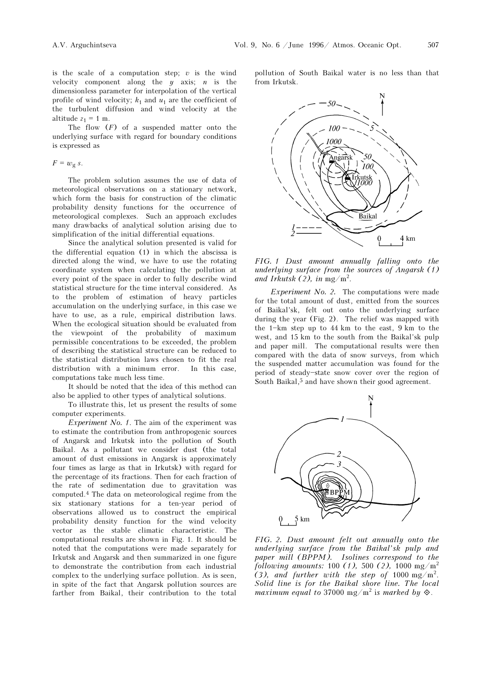is the scale of a computation step;  $v$  is the wind velocity component along the  $y$  axis;  $n$  is the dimensionless parameter for interpolation of the vertical profile of wind velocity;  $k_1$  and  $u_1$  are the coefficient of the turbulent diffusion and wind velocity at the altitude  $z_1 = 1$  m.

The flow  $(F)$  of a suspended matter onto the underlying surface with regard for boundary conditions is expressed as

 $F = w_g s$ .

The problem solution assumes the use of data of meteorological observations on a stationary network, which form the basis for construction of the climatic probability density functions for the occurrence of meteorological complexes. Such an approach excludes many drawbacks of analytical solution arising due to simplification of the initial differential equations.

Since the analytical solution presented is valid for the differential equation (1) in which the abscissa is directed along the wind, we have to use the rotating coordinate system when calculating the pollution at every point of the space in order to fully describe wind statistical structure for the time interval considered. As to the problem of estimation of heavy particles accumulation on the underlying surface, in this case we have to use, as a rule, empirical distribution laws. When the ecological situation should be evaluated from the viewpoint of the probability of maximum permissible concentrations to be exceeded, the problem of describing the statistical structure can be reduced to the statistical distribution laws chosen to fit the real distribution with a minimum error. In this case, computations take much less time.

It should be noted that the idea of this method can also be applied to other types of analytical solutions.

To illustrate this, let us present the results of some computer experiments.

Experiment No. 1. The aim of the experiment was to estimate the contribution from anthropogenic sources of Angarsk and Irkutsk into the pollution of South Baikal. As a pollutant we consider dust (the total amount of dust emissions in Angarsk is approximately four times as large as that in Irkutsk) with regard for the percentage of its fractions. Then for each fraction of the rate of sedimentation due to gravitation was computed.4 The data on meteorological regime from the six stationary stations for a ten-year period of observations allowed us to construct the empirical probability density function for the wind velocity vector as the stable climatic characteristic. The computational results are shown in Fig. 1. It should be noted that the computations were made separately for Irkutsk and Angarsk and then summarized in one figure to demonstrate the contribution from each industrial complex to the underlying surface pollution. As is seen, in spite of the fact that Angarsk pollution sources are farther from Baikal, their contribution to the total

pollution of South Baikal water is no less than that from Irkutsk.



FIG. 1 Dust amount annually falling onto the underlying surface from the sources of Angarsk (1) and Irkutsk  $(2)$ , in mg/m<sup>2</sup>.

Experiment No. 2. The computations were made for the total amount of dust, emitted from the sources of Baikal'sk, felt out onto the underlying surface during the year (Fig. 2). The relief was mapped with the  $1 - km$  step up to  $44$  km to the east,  $9$  km to the west, and 15 km to the south from the Baikal'sk pulp and paper mill. The computational results were then compared with the data of snow surveys, from which the suspended matter accumulation was found for the period of steady-state snow cover over the region of South Baikal,<sup>5</sup> and have shown their good agreement.



FIG. 2. Dust amount felt out annually onto the underlying surface from the Baikal'sk pulp and paper mill (BPPM). Isolines correspond to the following amounts: 100 (1), 500 (2), 1000 mg/m<sup>2</sup> (3), and further with the step of 1000 mg/m<sup>2</sup>. Solid line is for the Baikal shore line. The local maximum equal to 37000 mg/m<sup>2</sup> is marked by  $\hat{\diamond}$ .